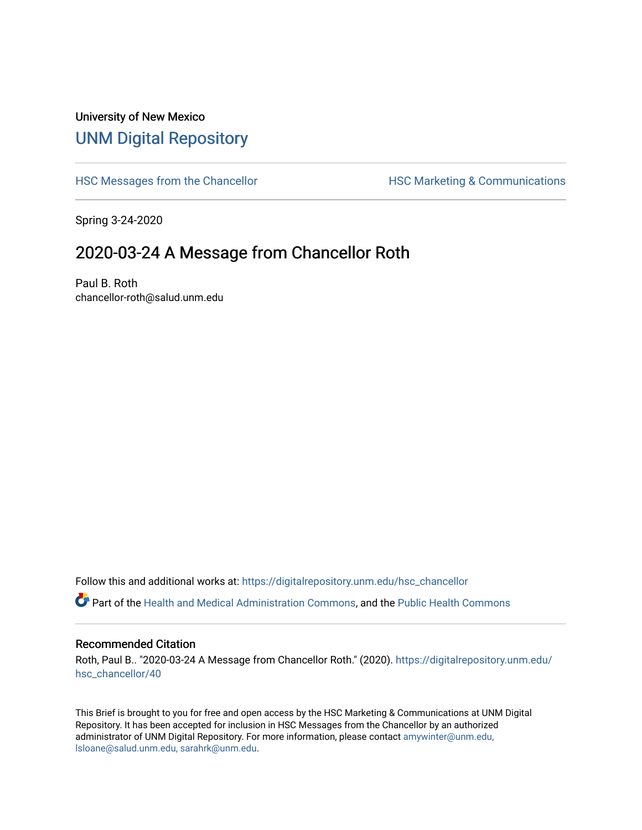## University of New Mexico [UNM Digital Repository](https://digitalrepository.unm.edu/)

[HSC Messages from the Chancellor](https://digitalrepository.unm.edu/hsc_chancellor) **HSC Marketing & Communications** 

Spring 3-24-2020

## 2020-03-24 A Message from Chancellor Roth

Paul B. Roth chancellor-roth@salud.unm.edu

Follow this and additional works at: [https://digitalrepository.unm.edu/hsc\\_chancellor](https://digitalrepository.unm.edu/hsc_chancellor?utm_source=digitalrepository.unm.edu%2Fhsc_chancellor%2F40&utm_medium=PDF&utm_campaign=PDFCoverPages) 

Part of the [Health and Medical Administration Commons](http://network.bepress.com/hgg/discipline/663?utm_source=digitalrepository.unm.edu%2Fhsc_chancellor%2F40&utm_medium=PDF&utm_campaign=PDFCoverPages), and the [Public Health Commons](http://network.bepress.com/hgg/discipline/738?utm_source=digitalrepository.unm.edu%2Fhsc_chancellor%2F40&utm_medium=PDF&utm_campaign=PDFCoverPages) 

## Recommended Citation

Roth, Paul B.. "2020-03-24 A Message from Chancellor Roth." (2020). [https://digitalrepository.unm.edu/](https://digitalrepository.unm.edu/hsc_chancellor/40?utm_source=digitalrepository.unm.edu%2Fhsc_chancellor%2F40&utm_medium=PDF&utm_campaign=PDFCoverPages) [hsc\\_chancellor/40](https://digitalrepository.unm.edu/hsc_chancellor/40?utm_source=digitalrepository.unm.edu%2Fhsc_chancellor%2F40&utm_medium=PDF&utm_campaign=PDFCoverPages) 

This Brief is brought to you for free and open access by the HSC Marketing & Communications at UNM Digital Repository. It has been accepted for inclusion in HSC Messages from the Chancellor by an authorized administrator of UNM Digital Repository. For more information, please contact [amywinter@unm.edu,](mailto:amywinter@unm.edu,%20lsloane@salud.unm.edu,%20sarahrk@unm.edu) [lsloane@salud.unm.edu, sarahrk@unm.edu.](mailto:amywinter@unm.edu,%20lsloane@salud.unm.edu,%20sarahrk@unm.edu)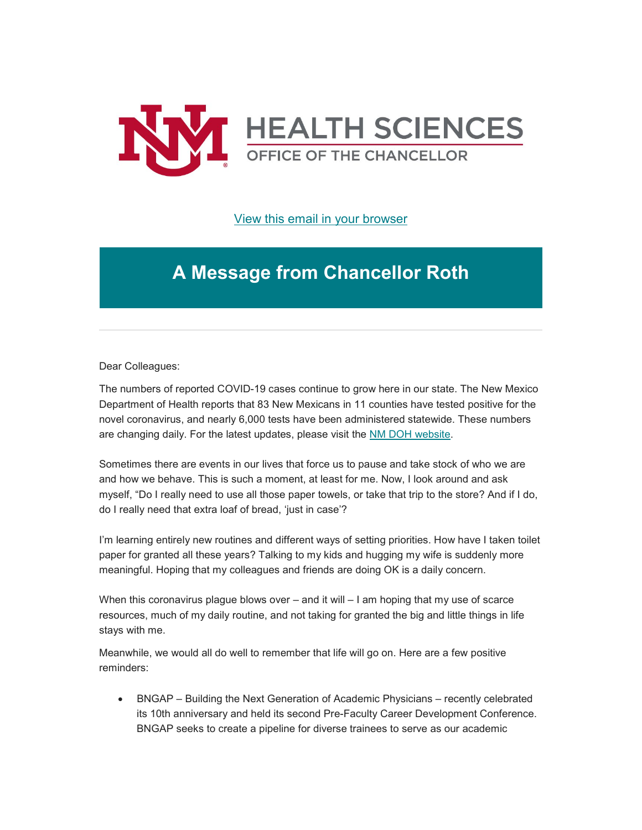

[View this email in your browser](https://mailchi.mp/bd013962d2ae/message-from-the-chancellor-coronavirus-4354979?e=b4bbfca2c0)

## **A Message from Chancellor Roth**

Dear Colleagues:

The numbers of reported COVID-19 cases continue to grow here in our state. The New Mexico Department of Health reports that 83 New Mexicans in 11 counties have tested positive for the novel coronavirus, and nearly 6,000 tests have been administered statewide. These numbers are changing daily. For the latest updates, please visit the [NM DOH website.](https://unm.us19.list-manage.com/track/click?u=59ce53c1a4dedb490bac78648&id=45f953fcdf&e=b4bbfca2c0)

Sometimes there are events in our lives that force us to pause and take stock of who we are and how we behave. This is such a moment, at least for me. Now, I look around and ask myself, "Do I really need to use all those paper towels, or take that trip to the store? And if I do, do I really need that extra loaf of bread, 'just in case'?

I'm learning entirely new routines and different ways of setting priorities. How have I taken toilet paper for granted all these years? Talking to my kids and hugging my wife is suddenly more meaningful. Hoping that my colleagues and friends are doing OK is a daily concern.

When this coronavirus plague blows over – and it will – I am hoping that my use of scarce resources, much of my daily routine, and not taking for granted the big and little things in life stays with me.

Meanwhile, we would all do well to remember that life will go on. Here are a few positive reminders:

• BNGAP – Building the Next Generation of Academic Physicians – recently celebrated its 10th anniversary and held its second Pre-Faculty Career Development Conference. BNGAP seeks to create a pipeline for diverse trainees to serve as our academic